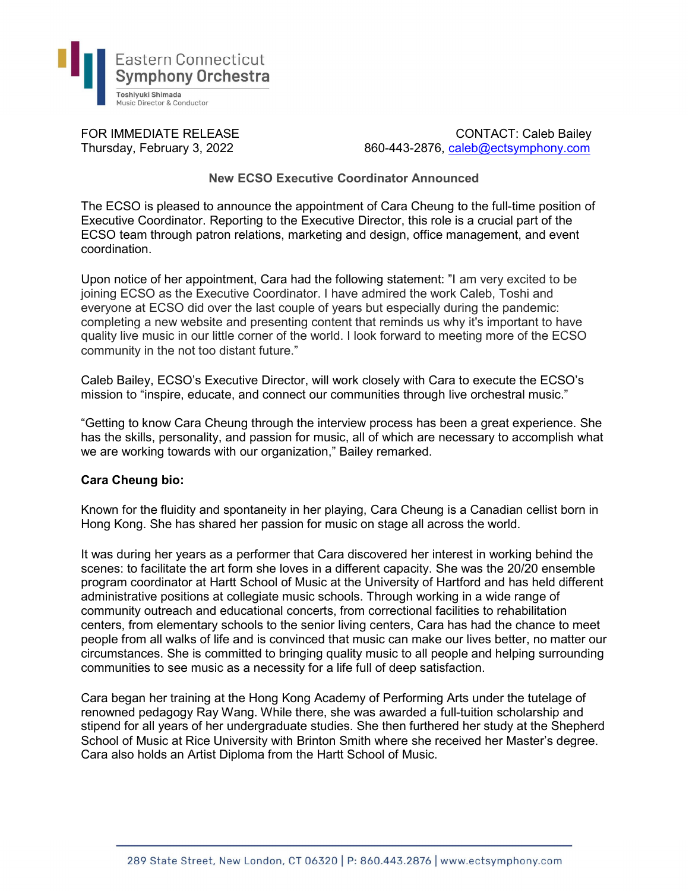

FOR IMMEDIATE RELEASE CONTACT: Caleb Bailey Thursday, February 3, 2022 860-443-2876, caleb@ectsymphony.com

## New ECSO Executive Coordinator Announced

The ECSO is pleased to announce the appointment of Cara Cheung to the full-time position of Executive Coordinator. Reporting to the Executive Director, this role is a crucial part of the ECSO team through patron relations, marketing and design, office management, and event coordination.

Upon notice of her appointment, Cara had the following statement: "I am very excited to be joining ECSO as the Executive Coordinator. I have admired the work Caleb, Toshi and everyone at ECSO did over the last couple of years but especially during the pandemic: completing a new website and presenting content that reminds us why it's important to have quality live music in our little corner of the world. I look forward to meeting more of the ECSO community in the not too distant future."

Caleb Bailey, ECSO's Executive Director, will work closely with Cara to execute the ECSO's mission to "inspire, educate, and connect our communities through live orchestral music."

"Getting to know Cara Cheung through the interview process has been a great experience. She has the skills, personality, and passion for music, all of which are necessary to accomplish what we are working towards with our organization," Bailey remarked.

## Cara Cheung bio:

Known for the fluidity and spontaneity in her playing, Cara Cheung is a Canadian cellist born in Hong Kong. She has shared her passion for music on stage all across the world.

It was during her years as a performer that Cara discovered her interest in working behind the scenes: to facilitate the art form she loves in a different capacity. She was the 20/20 ensemble program coordinator at Hartt School of Music at the University of Hartford and has held different administrative positions at collegiate music schools. Through working in a wide range of community outreach and educational concerts, from correctional facilities to rehabilitation centers, from elementary schools to the senior living centers, Cara has had the chance to meet people from all walks of life and is convinced that music can make our lives better, no matter our circumstances. She is committed to bringing quality music to all people and helping surrounding communities to see music as a necessity for a life full of deep satisfaction.

Cara began her training at the Hong Kong Academy of Performing Arts under the tutelage of renowned pedagogy Ray Wang. While there, she was awarded a full-tuition scholarship and stipend for all years of her undergraduate studies. She then furthered her study at the Shepherd School of Music at Rice University with Brinton Smith where she received her Master's degree. Cara also holds an Artist Diploma from the Hartt School of Music.